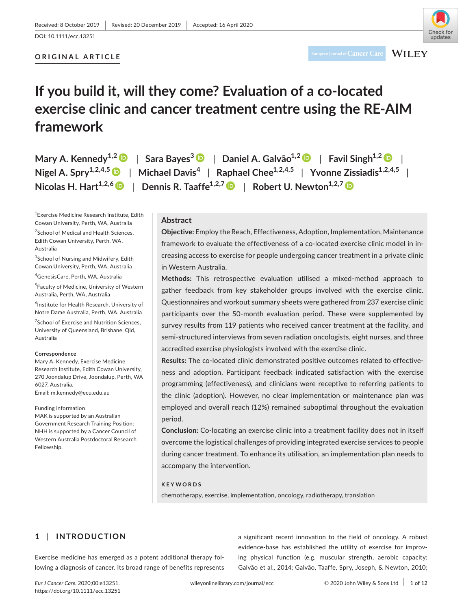# **ORIGINAL ARTICLE**



# **WILEY**

# **If you build it, will they come? Evaluation of a co-located exercise clinic and cancer treatment centre using the RE-AIM framework**

**Mary A. Kennedy**<sup>1,[2](https://orcid.org/0000-0002-4876-2990)</sup>  $\bullet$  | Sara Bayes<sup>[3](https://orcid.org/0000-0001-7121-9593)</sup>  $\bullet$  | Daniel A. Galvão<sup>1,2</sup>  $\bullet$  | Favil Singh<sup>1,2</sup>  $\bullet$  | **Nigel A. Spry1,2,4,[5](https://orcid.org/0000-0001-8659-5065)** | **Michael Davis<sup>4</sup>** | **Raphael Chee1,2,4,5** | **Yvonne Zissiadis1,2,4,5** | **Nicolas H.** Hart<sup>1,2,6</sup> | Dennis R. Taaffe<sup>1,2,[7](https://orcid.org/0000-0001-6381-1597)</sup> | Robert U. Newton<sup>1,2,7</sup> |  $\blacksquare$ 

1 Exercise Medicine Research Institute, Edith Cowan University, Perth, WA, Australia

<sup>2</sup>School of Medical and Health Sciences, Edith Cowan University, Perth, WA, Australia

<sup>3</sup>School of Nursing and Midwifery, Edith Cowan University, Perth, WA, Australia

4 GenesisCare, Perth, WA, Australia

5 Faculty of Medicine, University of Western Australia, Perth, WA, Australia

6 Institute for Health Research, University of Notre Dame Australia, Perth, WA, Australia

<sup>7</sup>School of Exercise and Nutrition Sciences, University of Queensland, Brisbane, Qld, Australia

#### **Correspondence**

Mary A. Kennedy, Exercise Medicine Research Institute, Edith Cowan University, 270 Joondalup Drive, Joondalup, Perth, WA 6027, Australia. Email: [m.kennedy@ecu.edu.au](mailto:m.kennedy@ecu.edu.au)

#### Funding information

MAK is supported by an Australian Government Research Training Position; NHH is supported by a Cancer Council of Western Australia Postdoctoral Research Fellowship.

# **Abstract**

**Objective:** Employ the Reach, Effectiveness, Adoption, Implementation, Maintenance framework to evaluate the effectiveness of a co-located exercise clinic model in increasing access to exercise for people undergoing cancer treatment in a private clinic in Western Australia.

**Methods:** This retrospective evaluation utilised a mixed-method approach to gather feedback from key stakeholder groups involved with the exercise clinic. Questionnaires and workout summary sheets were gathered from 237 exercise clinic participants over the 50-month evaluation period. These were supplemented by survey results from 119 patients who received cancer treatment at the facility, and semi-structured interviews from seven radiation oncologists, eight nurses, and three accredited exercise physiologists involved with the exercise clinic.

**Results:** The co-located clinic demonstrated positive outcomes related to effectiveness and adoption. Participant feedback indicated satisfaction with the exercise programming (effectiveness), and clinicians were receptive to referring patients to the clinic (adoption). However, no clear implementation or maintenance plan was employed and overall reach (12%) remained suboptimal throughout the evaluation period.

**Conclusion:** Co-locating an exercise clinic into a treatment facility does not in itself overcome the logistical challenges of providing integrated exercise services to people during cancer treatment. To enhance its utilisation, an implementation plan needs to accompany the intervention.

## **KEYWORDS**

chemotherapy, exercise, implementation, oncology, radiotherapy, translation

# **1** | **INTRODUCTION**

Exercise medicine has emerged as a potent additional therapy following a diagnosis of cancer. Its broad range of benefits represents

a significant recent innovation to the field of oncology. A robust evidence-base has established the utility of exercise for improving physical function (e.g. muscular strength, aerobic capacity; Galvão et al., 2014; Galvão, Taaffe, Spry, Joseph, & Newton, 2010;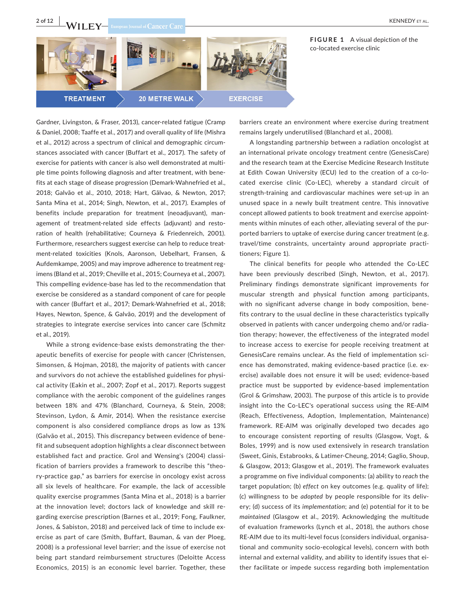

**TREATMENT** 

et al., 2019).

**20 METRE WALK** 



Gardner, Livingston, & Fraser, 2013), cancer-related fatigue (Cramp & Daniel, 2008; Taaffe et al., 2017) and overall quality of life (Mishra et al., 2012) across a spectrum of clinical and demographic circumstances associated with cancer (Buffart et al., 2017). The safety of exercise for patients with cancer is also well demonstrated at multiple time points following diagnosis and after treatment, with benefits at each stage of disease progression (Demark-Wahnefried et al., 2018; Galvão et al., 2010, 2018; Hart, Gãlvao, & Newton, 2017; Santa Mina et al., 2014; Singh, Newton, et al., 2017). Examples of benefits include preparation for treatment (neoadjuvant), management of treatment-related side effects (adjuvant) and restoration of health (rehabilitative; Courneya & Friedenreich, 2001). Furthermore, researchers suggest exercise can help to reduce treatment-related toxicities (Knols, Aaronson, Uebelhart, Fransen, & Aufdemkampe, 2005) and may improve adherence to treatment regimens (Bland et al., 2019; Cheville et al., 2015; Courneya et al., 2007). This compelling evidence-base has led to the recommendation that exercise be considered as a standard component of care for people with cancer (Buffart et al., 2017; Demark-Wahnefried et al., 2018; Hayes, Newton, Spence, & Galvão, 2019) and the development of strategies to integrate exercise services into cancer care (Schmitz

While a strong evidence-base exists demonstrating the therapeutic benefits of exercise for people with cancer (Christensen, Simonsen, & Hojman, 2018), the majority of patients with cancer and survivors do not achieve the established guidelines for physical activity (Eakin et al., 2007; Zopf et al., 2017). Reports suggest compliance with the aerobic component of the guidelines ranges between 18% and 47% (Blanchard, Courneya, & Stein, 2008; Stevinson, Lydon, & Amir, 2014). When the resistance exercise component is also considered compliance drops as low as 13% (Galvão et al., 2015). This discrepancy between evidence of benefit and subsequent adoption highlights a clear disconnect between established fact and practice. Grol and Wensing's (2004) classification of barriers provides a framework to describe this "theory-practice gap," as barriers for exercise in oncology exist across all six levels of healthcare. For example, the lack of accessible quality exercise programmes (Santa Mina et al., 2018) is a barrier at the innovation level; doctors lack of knowledge and skill regarding exercise prescription (Barnes et al., 2019; Fong, Faulkner, Jones, & Sabiston, 2018) and perceived lack of time to include exercise as part of care (Smith, Buffart, Bauman, & van der Ploeg, 2008) is a professional level barrier; and the issue of exercise not being part standard reimbursement structures (Deloitte Access Economics, 2015) is an economic level barrier. Together, these

**FIGURE 1** A visual depiction of the

barriers create an environment where exercise during treatment remains largely underutilised (Blanchard et al., 2008).

A longstanding partnership between a radiation oncologist at an international private oncology treatment centre (GenesisCare) and the research team at the Exercise Medicine Research Institute at Edith Cowan University (ECU) led to the creation of a co-located exercise clinic (Co-LEC), whereby a standard circuit of strength-training and cardiovascular machines were set-up in an unused space in a newly built treatment centre. This innovative concept allowed patients to book treatment and exercise appointments within minutes of each other, alleviating several of the purported barriers to uptake of exercise during cancer treatment (e.g. travel/time constraints, uncertainty around appropriate practitioners; Figure 1).

The clinical benefits for people who attended the Co-LEC have been previously described (Singh, Newton, et al., 2017). Preliminary findings demonstrate significant improvements for muscular strength and physical function among participants, with no significant adverse change in body composition, benefits contrary to the usual decline in these characteristics typically observed in patients with cancer undergoing chemo and/or radiation therapy; however, the effectiveness of the integrated model to increase access to exercise for people receiving treatment at GenesisCare remains unclear. As the field of implementation science has demonstrated, making evidence-based practice (i.e. exercise) available does not ensure it will be used; evidence-based practice must be supported by evidence-based implementation (Grol & Grimshaw, 2003). The purpose of this article is to provide insight into the Co-LEC's operational success using the RE-AIM (Reach, Effectiveness, Adoption, Implementation, Maintenance) framework. RE-AIM was originally developed two decades ago to encourage consistent reporting of results (Glasgow, Vogt, & Boles, 1999) and is now used extensively in research translation (Sweet, Ginis, Estabrooks, & Latimer-Cheung, 2014; Gaglio, Shoup, & Glasgow, 2013; Glasgow et al., 2019). The framework evaluates a programme on five individual components: (a) ability to *reach* the target population; (b) *effect* on key outcomes (e.g. quality of life); (c) willingness to be *adopted* by people responsible for its delivery; (d) success of its *implementation*; and (e) potential for it to be *maintained* (Glasgow et al., 2019). Acknowledging the multitude of evaluation frameworks (Lynch et al., 2018), the authors chose RE-AIM due to its multi-level focus (considers individual, organisational and community socio-ecological levels), concern with both internal and external validity, and ability to identify issues that either facilitate or impede success regarding both implementation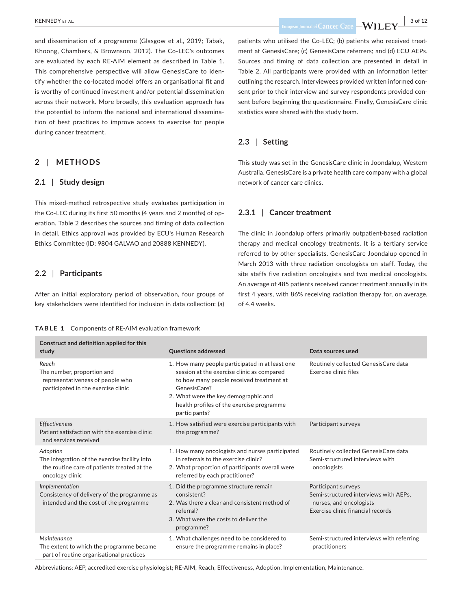and dissemination of a programme (Glasgow et al., 2019; Tabak, Khoong, Chambers, & Brownson, 2012). The Co-LEC's outcomes are evaluated by each RE-AIM element as described in Table 1. This comprehensive perspective will allow GenesisCare to identify whether the co-located model offers an organisational fit and is worthy of continued investment and/or potential dissemination across their network. More broadly, this evaluation approach has the potential to inform the national and international dissemination of best practices to improve access to exercise for people during cancer treatment.

#### **2** | **METHODS**

#### **2.1** | **Study design**

This mixed-method retrospective study evaluates participation in the Co-LEC during its first 50 months (4 years and 2 months) of operation. Table 2 describes the sources and timing of data collection in detail. Ethics approval was provided by ECU's Human Research Ethics Committee (ID: 9804 GALVAO and 20888 KENNEDY).

#### **2.2** | **Participants**

After an initial exploratory period of observation, four groups of key stakeholders were identified for inclusion in data collection: (a)

#### **TABLE 1** Components of RE-AIM evaluation framework

 **EUNEDY** ET AL. 3 of 12

patients who utilised the Co-LEC; (b) patients who received treatment at GenesisCare; (c) GenesisCare referrers; and (d) ECU AEPs. Sources and timing of data collection are presented in detail in Table 2. All participants were provided with an information letter outlining the research. Interviewees provided written informed consent prior to their interview and survey respondents provided consent before beginning the questionnaire. Finally, GenesisCare clinic statistics were shared with the study team.

#### **2.3** | **Setting**

This study was set in the GenesisCare clinic in Joondalup, Western Australia. GenesisCare is a private health care company with a global network of cancer care clinics.

#### **2.3.1** | **Cancer treatment**

The clinic in Joondalup offers primarily outpatient-based radiation therapy and medical oncology treatments. It is a tertiary service referred to by other specialists. GenesisCare Joondalup opened in March 2013 with three radiation oncologists on staff. Today, the site staffs five radiation oncologists and two medical oncologists. An average of 485 patients received cancer treatment annually in its first 4 years, with 86% receiving radiation therapy for, on average, of 4.4 weeks.

| Construct and definition applied for this<br>study                                                                          | <b>Questions addressed</b>                                                                                                                                                                                                                                      | Data sources used                                                                                                            |
|-----------------------------------------------------------------------------------------------------------------------------|-----------------------------------------------------------------------------------------------------------------------------------------------------------------------------------------------------------------------------------------------------------------|------------------------------------------------------------------------------------------------------------------------------|
| Reach<br>The number, proportion and<br>representativeness of people who<br>participated in the exercise clinic              | 1. How many people participated in at least one<br>session at the exercise clinic as compared<br>to how many people received treatment at<br>GenesisCare?<br>2. What were the key demographic and<br>health profiles of the exercise programme<br>participants? | Routinely collected GenesisCare data<br>Exercise clinic files                                                                |
| Effectiveness<br>Patient satisfaction with the exercise clinic<br>and services received                                     | 1. How satisfied were exercise participants with<br>the programme?                                                                                                                                                                                              | Participant surveys                                                                                                          |
| Adoption<br>The integration of the exercise facility into<br>the routine care of patients treated at the<br>oncology clinic | 1. How many oncologists and nurses participated<br>in referrals to the exercise clinic?<br>2. What proportion of participants overall were<br>referred by each practitioner?                                                                                    | Routinely collected GenesisCare data<br>Semi-structured interviews with<br>oncologists                                       |
| Implementation<br>Consistency of delivery of the programme as<br>intended and the cost of the programme                     | 1. Did the programme structure remain<br>consistent?<br>2. Was there a clear and consistent method of<br>referral?<br>3. What were the costs to deliver the<br>programme?                                                                                       | Participant surveys<br>Semi-structured interviews with AEPs,<br>nurses, and oncologists<br>Exercise clinic financial records |
| Maintenance<br>The extent to which the programme became<br>part of routine organisational practices                         | 1. What challenges need to be considered to<br>ensure the programme remains in place?                                                                                                                                                                           | Semi-structured interviews with referring<br>practitioners                                                                   |

Abbreviations: AEP, accredited exercise physiologist; RE-AIM, Reach, Effectiveness, Adoption, Implementation, Maintenance.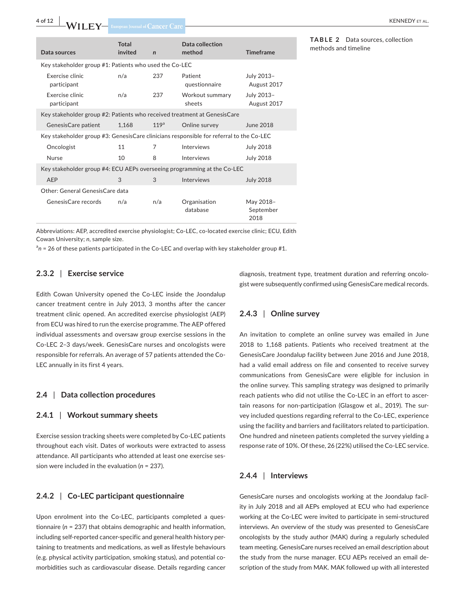**4 of 12 WILEY** European Journal of Cancer Care

| Data sources                                                                            | Total<br>invited | $\mathbf n$      | Data collection<br>method | <b>Timeframe</b>               |  |  |
|-----------------------------------------------------------------------------------------|------------------|------------------|---------------------------|--------------------------------|--|--|
| Key stakeholder group #1: Patients who used the Co-LEC                                  |                  |                  |                           |                                |  |  |
| Exercise clinic<br>participant                                                          | n/a              | 237              | Patient<br>questionnaire  | July 2013-<br>August 2017      |  |  |
| Exercise clinic<br>participant                                                          | n/a              | 237              | Workout summary<br>sheets | July 2013-<br>August 2017      |  |  |
| Key stakeholder group #2: Patients who received treatment at GenesisCare                |                  |                  |                           |                                |  |  |
| Genesis Care patient                                                                    | 1,168            | 119 <sup>a</sup> | Online survey             | June 2018                      |  |  |
| Key stakeholder group #3: GenesisCare clinicians responsible for referral to the Co-LEC |                  |                  |                           |                                |  |  |
| Oncologist                                                                              | 11               | 7                | Interviews                | <b>July 2018</b>               |  |  |
| <b>Nurse</b>                                                                            | 10               | 8                | Interviews                | <b>July 2018</b>               |  |  |
| Key stakeholder group #4: ECU AEPs overseeing programming at the Co-LEC                 |                  |                  |                           |                                |  |  |
| AEP                                                                                     | 3                | 3                | Interviews                | <b>July 2018</b>               |  |  |
| Other: General GenesisCare data                                                         |                  |                  |                           |                                |  |  |
| GenesisCare records                                                                     | n/a              | n/a              | Organisation<br>database  | May 2018-<br>September<br>2018 |  |  |

Abbreviations: AEP, accredited exercise physiologist; Co-LEC, co-located exercise clinic; ECU, Edith Cowan University; *n*, sample size.

<sup>a</sup>n = 26 of these patients participated in the Co-LEC and overlap with key stakeholder group #1.

#### **2.3.2** | **Exercise service**

Edith Cowan University opened the Co-LEC inside the Joondalup cancer treatment centre in July 2013, 3 months after the cancer treatment clinic opened. An accredited exercise physiologist (AEP) from ECU was hired to run the exercise programme. The AEP offered individual assessments and oversaw group exercise sessions in the Co-LEC 2–3 days/week. GenesisCare nurses and oncologists were responsible for referrals. An average of 57 patients attended the Co-LEC annually in its first 4 years.

#### **2.4** | **Data collection procedures**

#### **2.4.1** | **Workout summary sheets**

Exercise session tracking sheets were completed by Co-LEC patients throughout each visit. Dates of workouts were extracted to assess attendance. All participants who attended at least one exercise session were included in the evaluation (*n* = 237).

# **2.4.2** | **Co-LEC participant questionnaire**

Upon enrolment into the Co-LEC, participants completed a questionnaire (*n* = 237) that obtains demographic and health information, including self-reported cancer-specific and general health history pertaining to treatments and medications, as well as lifestyle behaviours (e.g. physical activity participation, smoking status), and potential comorbidities such as cardiovascular disease. Details regarding cancer diagnosis, treatment type, treatment duration and referring oncologist were subsequently confirmed using GenesisCare medical records.

#### **2.4.3** | **Online survey**

An invitation to complete an online survey was emailed in June 2018 to 1,168 patients. Patients who received treatment at the GenesisCare Joondalup facility between June 2016 and June 2018, had a valid email address on file and consented to receive survey communications from GenesisCare were eligible for inclusion in the online survey. This sampling strategy was designed to primarily reach patients who did not utilise the Co-LEC in an effort to ascertain reasons for non-participation (Glasgow et al., 2019). The survey included questions regarding referral to the Co-LEC, experience using the facility and barriers and facilitators related to participation. One hundred and nineteen patients completed the survey yielding a response rate of 10%. Of these, 26 (22%) utilised the Co-LEC service.

# **2.4.4** | **Interviews**

GenesisCare nurses and oncologists working at the Joondalup facility in July 2018 and all AEPs employed at ECU who had experience working at the Co-LEC were invited to participate in semi-structured interviews. An overview of the study was presented to GenesisCare oncologists by the study author (MAK) during a regularly scheduled team meeting. GenesisCare nurses received an email description about the study from the nurse manager. ECU AEPs received an email description of the study from MAK. MAK followed up with all interested

**TABLE 2** Data sources, collection methods and timeline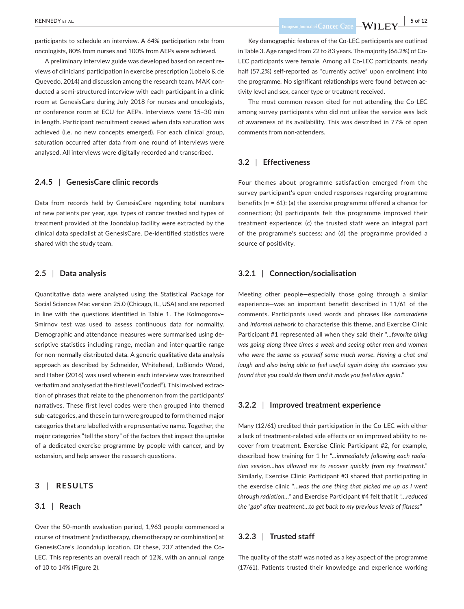participants to schedule an interview. A 64% participation rate from oncologists, 80% from nurses and 100% from AEPs were achieved.

A preliminary interview guide was developed based on recent reviews of clinicians' participation in exercise prescription (Lobelo & de Quevedo, 2014) and discussion among the research team. MAK conducted a semi-structured interview with each participant in a clinic room at GenesisCare during July 2018 for nurses and oncologists, or conference room at ECU for AEPs. Interviews were 15–30 min in length. Participant recruitment ceased when data saturation was achieved (i.e. no new concepts emerged). For each clinical group, saturation occurred after data from one round of interviews were analysed. All interviews were digitally recorded and transcribed.

#### **2.4.5** | **GenesisCare clinic records**

Data from records held by GenesisCare regarding total numbers of new patients per year, age, types of cancer treated and types of treatment provided at the Joondalup facility were extracted by the clinical data specialist at GenesisCare. De-identified statistics were shared with the study team.

#### **2.5** | **Data analysis**

Quantitative data were analysed using the Statistical Package for Social Sciences Mac version 25.0 (Chicago, IL, USA) and are reported in line with the questions identified in Table 1. The Kolmogorov– Smirnov test was used to assess continuous data for normality. Demographic and attendance measures were summarised using descriptive statistics including range, median and inter-quartile range for non-normally distributed data. A generic qualitative data analysis approach as described by Schneider, Whitehead, LoBiondo Wood, and Haber (2016) was used wherein each interview was transcribed verbatim and analysed at the first level ("coded"). This involved extraction of phrases that relate to the phenomenon from the participants' narratives. These first level codes were then grouped into themed sub-categories, and these in turn were grouped to form themed major categories that are labelled with a representative name. Together, the major categories "tell the story" of the factors that impact the uptake of a dedicated exercise programme by people with cancer, and by extension, and help answer the research questions.

#### **3** | **RESULTS**

#### **3.1** | **Reach**

Over the 50-month evaluation period, 1,963 people commenced a course of treatment (radiotherapy, chemotherapy or combination) at GenesisCare's Joondalup location. Of these, 237 attended the Co-LEC. This represents an overall reach of 12%, with an annual range of 10 to 14% (Figure 2).

Key demographic features of the Co-LEC participants are outlined in Table 3. Age ranged from 22 to 83 years. The majority (66.2%) of Co-LEC participants were female. Among all Co-LEC participants, nearly half (57.2%) self-reported as "currently active" upon enrolment into the programme. No significant relationships were found between activity level and sex, cancer type or treatment received.

The most common reason cited for not attending the Co-LEC among survey participants who did not utilise the service was lack of awareness of its availability. This was described in 77% of open comments from non-attenders.

#### **3.2** | **Effectiveness**

Four themes about programme satisfaction emerged from the survey participant's open-ended responses regarding programme benefits (*n* = 61): (a) the exercise programme offered a chance for connection; (b) participants felt the programme improved their treatment experience; (c) the trusted staff were an integral part of the programme's success; and (d) the programme provided a source of positivity.

#### **3.2.1** | **Connection/socialisation**

Meeting other people—especially those going through a similar experience—was an important benefit described in 11/61 of the comments. Participants used words and phrases like *camaraderie* and *informal network* to characterise this theme, and Exercise Clinic Participant #1 represented all when they said their "*…favorite thing was going along three times a week and seeing other men and women who were the same as yourself some much worse. Having a chat and laugh and also being able to feel useful again doing the exercises you found that you could do them and it made you feel alive again*."

#### **3.2.2** | **Improved treatment experience**

Many (12/61) credited their participation in the Co-LEC with either a lack of treatment-related side effects or an improved ability to recover from treatment. Exercise Clinic Participant #2, for example, described how training for 1 hr "*…immediately following each radiation session…has allowed me to recover quickly from my treatment*." Similarly, Exercise Clinic Participant #3 shared that participating in the exercise clinic "…*was the one thing that picked me up as I went through radiation…*" and Exercise Participant #4 felt that it "*…reduced the "gap" after treatment…to get back to my previous levels of fitness*"

#### **3.2.3** | **Trusted staff**

The quality of the staff was noted as a key aspect of the programme (17/61). Patients trusted their knowledge and experience working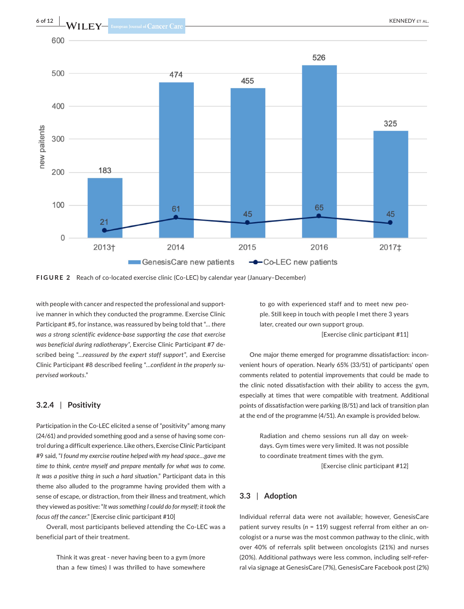

**FIGURE 2** Reach of co-located exercise clinic (Co-LEC) by calendar year (January–December)

with people with cancer and respected the professional and supportive manner in which they conducted the programme. Exercise Clinic Participant #5, for instance, was reassured by being told that "*… there was a strong scientific evidence-base supporting the case that exercise was beneficial during radiotherapy"*, Exercise Clinic Participant #7 described being "…*reassured by the expert staff support*", and Exercise Clinic Participant #8 described feeling "…*confident in the properly supervised workouts*."

#### **3.2.4** | **Positivity**

Participation in the Co-LEC elicited a sense of "positivity" among many (24/61) and provided something good and a sense of having some control during a difficult experience. Like others, Exercise Clinic Participant #9 said, "*I found my exercise routine helped with my head space…gave me time to think, centre myself and prepare mentally for what was to come. It was a positive thing in such a hard situation*." Participant data in this theme also alluded to the programme having provided them with a sense of escape, or distraction, from their illness and treatment, which they viewed as positive: "*It was something I could do for myself; it took the focus off the cancer*." [Exercise clinic participant #10]

Overall, most participants believed attending the Co-LEC was a beneficial part of their treatment.

> Think it was great - never having been to a gym (more than a few times) I was thrilled to have somewhere

to go with experienced staff and to meet new people. Still keep in touch with people I met there 3 years later, created our own support group.

[Exercise clinic participant #11]

One major theme emerged for programme dissatisfaction: inconvenient hours of operation. Nearly 65% (33/51) of participants' open comments related to potential improvements that could be made to the clinic noted dissatisfaction with their ability to access the gym, especially at times that were compatible with treatment. Additional points of dissatisfaction were parking (8/51) and lack of transition plan at the end of the programme (4/51). An example is provided below.

> Radiation and chemo sessions run all day on weekdays. Gym times were very limited. It was not possible to coordinate treatment times with the gym. [Exercise clinic participant #12]

# **3.3** | **Adoption**

Individual referral data were not available; however, GenesisCare patient survey results (*n* = 119) suggest referral from either an oncologist or a nurse was the most common pathway to the clinic, with over 40% of referrals split between oncologists (21%) and nurses (20%). Additional pathways were less common, including self-referral via signage at GenesisCare (7%), GenesisCare Facebook post (2%)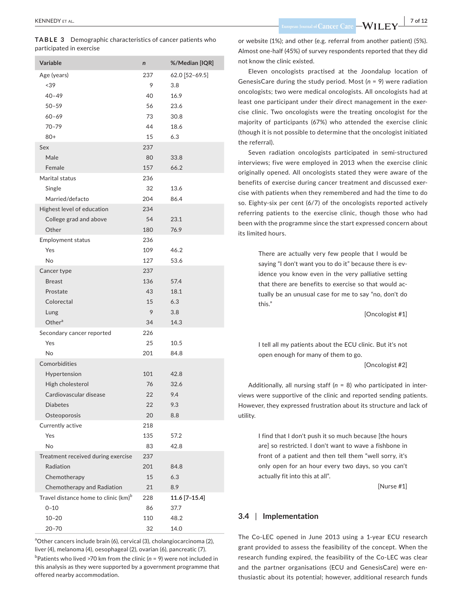| <b>Variable</b>                                  | n   | %/Median [IQR] |
|--------------------------------------------------|-----|----------------|
| Age (years)                                      | 237 | 62.0 [52-69.5] |
| < 39                                             | 9   | 3.8            |
| $40 - 49$                                        | 40  | 16.9           |
| $50 - 59$                                        | 56  | 23.6           |
| $60 - 69$                                        | 73  | 30.8           |
| $70 - 79$                                        | 44  | 18.6           |
| $80+$                                            | 15  | 6.3            |
| Sex                                              | 237 |                |
| Male                                             | 80  | 33.8           |
| Female                                           | 157 | 66.2           |
| Marital status                                   | 236 |                |
| Single                                           | 32  | 13.6           |
| Married/defacto                                  | 204 | 86.4           |
| Highest level of education                       | 234 |                |
| College grad and above                           | 54  | 23.1           |
| Other                                            | 180 | 76.9           |
| <b>Employment status</b>                         | 236 |                |
| Yes                                              | 109 | 46.2           |
| No                                               | 127 | 53.6           |
| Cancer type                                      | 237 |                |
| <b>Breast</b>                                    | 136 | 57.4           |
| Prostate                                         | 43  | 18.1           |
| Colorectal                                       | 15  | 6.3            |
| Lung                                             | 9   | 3.8            |
| Other <sup>a</sup>                               | 34  | 14.3           |
| Secondary cancer reported                        | 226 |                |
| Yes                                              | 25  | 10.5           |
| No                                               | 201 | 84.8           |
| Comorbidities                                    |     |                |
| Hypertension                                     | 101 | 42.8           |
| High cholesterol                                 | 76  | 32.6           |
| Cardiovascular disease                           | 22  | 9.4            |
| Diabetes                                         | 22  | 9.3            |
| Osteoporosis                                     | 20  | 8.8            |
| Currently active                                 | 218 |                |
| Yes                                              | 135 | 57.2           |
| No                                               | 83  | 42.8           |
| Treatment received during exercise               | 237 |                |
| Radiation                                        | 201 | 84.8           |
| Chemotherapy                                     | 15  | 6.3            |
| Chemotherapy and Radiation                       | 21  | 8.9            |
| Travel distance home to clinic (km) <sup>b</sup> | 228 | 11.6 [7-15.4]  |
| $0 - 10$                                         | 86  | 37.7           |
| $10 - 20$                                        | 110 | 48.2           |
| $20 - 70$                                        | 32  | 14.0           |

<sup>a</sup>Other cancers include brain (6), cervical (3), cholangiocarcinoma (2), liver (4), melanoma (4), oesophageal (2), ovarian (6), pancreatic (7). b Patients who lived >70 km from the clinic (*n* = 9) were not included in this analysis as they were supported by a government programme that offered nearby accommodation.

 **|** KENNEDY et al. **7 of 12**

or website (1%); and other (e.g. referral from another patient) (5%). Almost one-half (45%) of survey respondents reported that they did not know the clinic existed.

Eleven oncologists practised at the Joondalup location of GenesisCare during the study period. Most (*n* = 9) were radiation oncologists; two were medical oncologists. All oncologists had at least one participant under their direct management in the exercise clinic. Two oncologists were the treating oncologist for the majority of participants (67%) who attended the exercise clinic (though it is not possible to determine that the oncologist initiated the referral).

Seven radiation oncologists participated in semi-structured interviews; five were employed in 2013 when the exercise clinic originally opened. All oncologists stated they were aware of the benefits of exercise during cancer treatment and discussed exercise with patients when they remembered and had the time to do so. Eighty-six per cent (6/7) of the oncologists reported actively referring patients to the exercise clinic, though those who had been with the programme since the start expressed concern about its limited hours.

> There are actually very few people that I would be saying "I don't want you to do it" because there is evidence you know even in the very palliative setting that there are benefits to exercise so that would actually be an unusual case for me to say "no, don't do this."

> > [Oncologist #1]

I tell all my patients about the ECU clinic. But it's not open enough for many of them to go.

[Oncologist #2]

Additionally, all nursing staff (*n* = 8) who participated in interviews were supportive of the clinic and reported sending patients. However, they expressed frustration about its structure and lack of utility.

> I find that I don't push it so much because [the hours are] so restricted. I don't want to wave a fishbone in front of a patient and then tell them "well sorry, it's only open for an hour every two days, so you can't actually fit into this at all".

> > [Nurse #1]

# **3.4** | **Implementation**

The Co-LEC opened in June 2013 using a 1-year ECU research grant provided to assess the feasibility of the concept. When the research funding expired, the feasibility of the Co-LEC was clear and the partner organisations (ECU and GenesisCare) were enthusiastic about its potential; however, additional research funds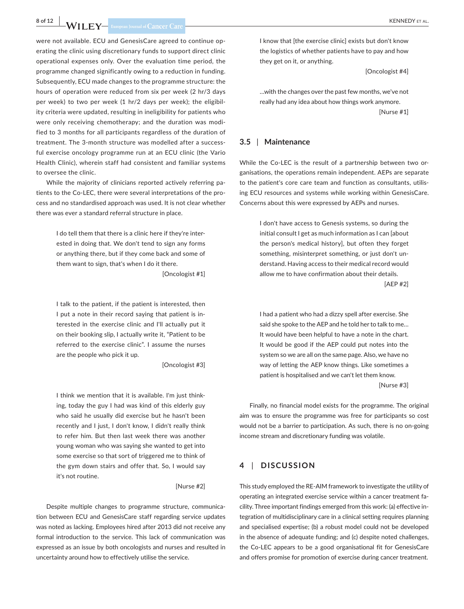# **8 of 12 WII FV** European Iournal of Cancer Care

were not available. ECU and GenesisCare agreed to continue operating the clinic using discretionary funds to support direct clinic operational expenses only. Over the evaluation time period, the programme changed significantly owing to a reduction in funding. Subsequently, ECU made changes to the programme structure: the hours of operation were reduced from six per week (2 hr/3 days per week) to two per week (1 hr/2 days per week); the eligibility criteria were updated, resulting in ineligibility for patients who were only receiving chemotherapy; and the duration was modified to 3 months for all participants regardless of the duration of treatment. The 3-month structure was modelled after a successful exercise oncology programme run at an ECU clinic (the Vario Health Clinic), wherein staff had consistent and familiar systems to oversee the clinic.

While the majority of clinicians reported actively referring patients to the Co-LEC, there were several interpretations of the process and no standardised approach was used. It is not clear whether there was ever a standard referral structure in place.

> I do tell them that there is a clinic here if they're interested in doing that. We don't tend to sign any forms or anything there, but if they come back and some of them want to sign, that's when I do it there.

[Oncologist #1]

I talk to the patient, if the patient is interested, then I put a note in their record saying that patient is interested in the exercise clinic and I'll actually put it on their booking slip, I actually write it, "Patient to be referred to the exercise clinic". I assume the nurses are the people who pick it up.

[Oncologist #3]

I think we mention that it is available. I'm just thinking, today the guy I had was kind of this elderly guy who said he usually did exercise but he hasn't been recently and I just, I don't know, I didn't really think to refer him. But then last week there was another young woman who was saying she wanted to get into some exercise so that sort of triggered me to think of the gym down stairs and offer that. So, I would say it's not routine.

[Nurse #2]

Despite multiple changes to programme structure, communication between ECU and GenesisCare staff regarding service updates was noted as lacking. Employees hired after 2013 did not receive any formal introduction to the service. This lack of communication was expressed as an issue by both oncologists and nurses and resulted in uncertainty around how to effectively utilise the service.

I know that [the exercise clinic] exists but don't know the logistics of whether patients have to pay and how they get on it, or anything.

[Oncologist #4]

…with the changes over the past few months, we've not really had any idea about how things work anymore. [Nurse #1]

#### **3.5** | **Maintenance**

While the Co-LEC is the result of a partnership between two organisations, the operations remain independent. AEPs are separate to the patient's core care team and function as consultants, utilising ECU resources and systems while working within GenesisCare. Concerns about this were expressed by AEPs and nurses.

> I don't have access to Genesis systems, so during the initial consult I get as much information as I can [about the person's medical history], but often they forget something, misinterpret something, or just don't understand. Having access to their medical record would allow me to have confirmation about their details.

> > [AEP #2]

I had a patient who had a dizzy spell after exercise. She said she spoke to the AEP and he told her to talk to me… It would have been helpful to have a note in the chart. It would be good if the AEP could put notes into the system so we are all on the same page. Also, we have no way of letting the AEP know things. Like sometimes a patient is hospitalised and we can't let them know.

[Nurse #3]

Finally, no financial model exists for the programme. The original aim was to ensure the programme was free for participants so cost would not be a barrier to participation. As such, there is no on-going income stream and discretionary funding was volatile.

# **4** | **DISCUSSION**

This study employed the RE-AIM framework to investigate the utility of operating an integrated exercise service within a cancer treatment facility. Three important findings emerged from this work: (a) effective integration of multidisciplinary care in a clinical setting requires planning and specialised expertise; (b) a robust model could not be developed in the absence of adequate funding; and (c) despite noted challenges, the Co-LEC appears to be a good organisational fit for GenesisCare and offers promise for promotion of exercise during cancer treatment.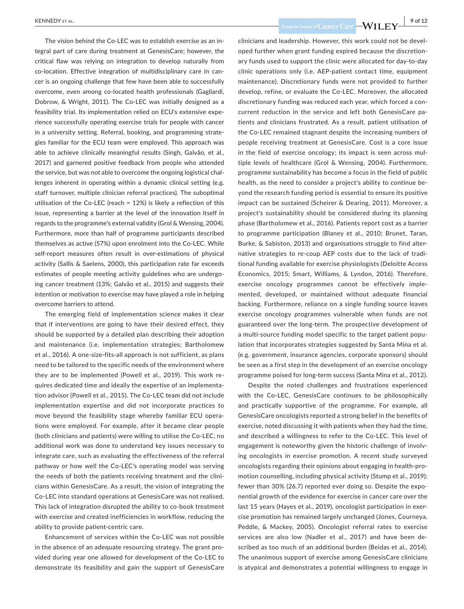The vision behind the Co-LEC was to establish exercise as an integral part of care during treatment at GenesisCare; however, the critical flaw was relying on integration to develop naturally from co-location. Effective integration of multidisciplinary care in cancer is an ongoing challenge that few have been able to successfully overcome, even among co-located health professionals (Gagliardi, Dobrow, & Wright, 2011). The Co-LEC was initially designed as a feasibility trial. Its implementation relied on ECU's extensive experience successfully operating exercise trials for people with cancer in a university setting. Referral, booking, and programming strategies familiar for the ECU team were employed. This approach was able to achieve clinically meaningful results (Singh, Galvão, et al., 2017) and garnered positive feedback from people who attended the service, but was not able to overcome the ongoing logistical challenges inherent in operating within a dynamic clinical setting (e.g. staff turnover, multiple clinician referral practices). The suboptimal utilisation of the Co-LEC (reach = 12%) is likely a reflection of this issue, representing a barrier at the level of the innovation itself in regards to the programme's external validity (Grol & Wensing, 2004). Furthermore, more than half of programme participants described themselves as active (57%) upon enrolment into the Co-LEC. While self-report measures often result in over-estimations of physical activity (Sallis & Saelens, 2000), this participation rate far exceeds estimates of people meeting activity guidelines who are undergoing cancer treatment (13%; Galvão et al., 2015) and suggests their intention or motivation to exercise may have played a role in helping overcome barriers to attend.

The emerging field of implementation science makes it clear that if interventions are going to have their desired effect, they should be supported by a detailed plan describing their adoption and maintenance (i.e. implementation strategies; Bartholomew et al., 2016). A one-size-fits-all approach is not sufficient, as plans need to be tailored to the specific needs of the environment where they are to be implemented (Powell et al., 2019). This work requires dedicated time and ideally the expertise of an implementation advisor (Powell et al., 2015). The Co-LEC team did not include implementation expertise and did not incorporate practices to move beyond the feasibility stage whereby familiar ECU operations were employed. For example, after it became clear people (both clinicians and patients) were willing to utilise the Co-LEC, no additional work was done to understand key issues necessary to integrate care, such as evaluating the effectiveness of the referral pathway or how well the Co-LEC's operating model was serving the needs of both the patients receiving treatment and the clinicians within GenesisCare. As a result, the vision of integrating the Co-LEC into standard operations at GenesisCare was not realised. This lack of integration disrupted the ability to co-book treatment with exercise and created inefficiencies in workflow, reducing the ability to provide patient-centric care.

Enhancement of services within the Co-LEC was not possible in the absence of an adequate resourcing strategy. The grant provided during year one allowed for development of the Co-LEC to demonstrate its feasibility and gain the support of GenesisCare

 **EUNEDY** ET AL. 9 of 12

clinicians and leadership. However, this work could not be developed further when grant funding expired because the discretionary funds used to support the clinic were allocated for day-to-day clinic operations only (i.e. AEP-patient contact time, equipment maintenance). Discretionary funds were not provided to further develop, refine, or evaluate the Co-LEC. Moreover, the allocated discretionary funding was reduced each year, which forced a concurrent reduction in the service and left both GenesisCare patients and clinicians frustrated. As a result, patient utilisation of the Co-LEC remained stagnant despite the increasing numbers of people receiving treatment at GenesisCare. Cost is a core issue in the field of exercise oncology; its impact is seen across multiple levels of healthcare (Grol & Wensing, 2004). Furthermore, programme sustainability has become a focus in the field of public health, as the need to consider a project's ability to continue beyond the research funding period is essential to ensure its positive impact can be sustained (Scheirer & Dearing, 2011). Moreover, a project's sustainability should be considered during its planning phase (Bartholomew et al., 2016). Patients report cost as a barrier to programme participation (Blaney et al., 2010; Brunet, Taran, Burke, & Sabiston, 2013) and organisations struggle to find alternative strategies to re-coup AEP costs due to the lack of traditional funding available for exercise physiologists (Deloitte Access Economics, 2015; Smart, Williams, & Lyndon, 2016). Therefore, exercise oncology programmes cannot be effectively implemented, developed, or maintained without adequate financial backing. Furthermore, reliance on a single funding source leaves exercise oncology programmes vulnerable when funds are not guaranteed over the long-term. The prospective development of a multi-source funding model specific to the target patient population that incorporates strategies suggested by Santa Mina et al. (e.g. government, insurance agencies, corporate sponsors) should be seen as a first step in the development of an exercise oncology programme poised for long-term success (Santa Mina et al., 2012).

Despite the noted challenges and frustrations experienced with the Co-LEC, GenesisCare continues to be philosophically and practically supportive of the programme. For example, all GenesisCare oncologists reported a strong belief in the benefits of exercise, noted discussing it with patients when they had the time, and described a willingness to refer to the Co-LEC. This level of engagement is noteworthy given the historic challenge of involving oncologists in exercise promotion. A recent study surveyed oncologists regarding their opinions about engaging in health-promotion counselling, including physical activity (Stump et al., 2019); fewer than 30% (26.7) reported ever doing so. Despite the exponential growth of the evidence for exercise in cancer care over the last 15 years (Hayes et al., 2019), oncologist participation in exercise promotion has remained largely unchanged (Jones, Courneya, Peddle, & Mackey, 2005). Oncologist referral rates to exercise services are also low (Nadler et al., 2017) and have been described as too much of an additional burden (Beidas et al., 2014). The unanimous support of exercise among GenesisCare clinicians is atypical and demonstrates a potential willingness to engage in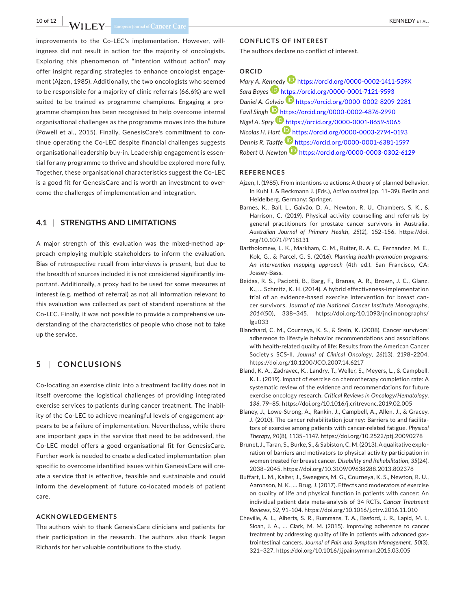improvements to the Co-LEC's implementation. However, willingness did not result in action for the majority of oncologists. Exploring this phenomenon of "intention without action" may offer insight regarding strategies to enhance oncologist engagement (Ajzen, 1985). Additionally, the two oncologists who seemed to be responsible for a majority of clinic referrals (66.6%) are well suited to be trained as programme champions. Engaging a programme champion has been recognised to help overcome internal organisational challenges as the programme moves into the future (Powell et al., 2015). Finally, GenesisCare's commitment to continue operating the Co-LEC despite financial challenges suggests organisational leadership buy-in. Leadership engagement is essential for any programme to thrive and should be explored more fully. Together, these organisational characteristics suggest the Co-LEC is a good fit for GenesisCare and is worth an investment to overcome the challenges of implementation and integration.

# **4.1** | **STRENGTHS AND LIMITATIONS**

A major strength of this evaluation was the mixed-method approach employing multiple stakeholders to inform the evaluation. Bias of retrospective recall from interviews is present, but due to the breadth of sources included it is not considered significantly important. Additionally, a proxy had to be used for some measures of interest (e.g. method of referral) as not all information relevant to this evaluation was collected as part of standard operations at the Co-LEC. Finally, it was not possible to provide a comprehensive understanding of the characteristics of people who chose not to take up the service.

# **5** | **CONCLUSIONS**

Co-locating an exercise clinic into a treatment facility does not in itself overcome the logistical challenges of providing integrated exercise services to patients during cancer treatment. The inability of the Co-LEC to achieve meaningful levels of engagement appears to be a failure of implementation. Nevertheless, while there are important gaps in the service that need to be addressed, the Co-LEC model offers a good organisational fit for GenesisCare. Further work is needed to create a dedicated implementation plan specific to overcome identified issues within GenesisCare will create a service that is effective, feasible and sustainable and could inform the development of future co-located models of patient care.

#### **ACKNOWLEDGEMENTS**

The authors wish to thank GenesisCare clinicians and patients for their participation in the research. The authors also thank Tegan Richards for her valuable contributions to the study.

#### **CONFLICTS OF INTEREST**

The authors declare no conflict of interest.

# **ORCID**

*Mary A. K[enned](https://orcid.org/0000-0001-7121-9593)y* <https://orcid.org/0000-0002-1411-539X> *Sara Bayes* <https://orcid.org/0000-0001-7121-9593> *Daniel A. [Galvã](https://orcid.org/0000-0002-4876-2990)o* <https://orcid.org/0000-0002-8209-2281> *Favil Singh* <https://orcid.org/0000-0002-4876-2990> *Nigel A. Spry* <https://orcid.org/0000-0001-8659-5065> *Nicolas H. Hart* <https://orcid.org/0000-0003-2794-0193> *Dennis R. Taaffe* <https://orcid.org/0000-0001-6381-1597> *Robert U. Newton* <https://orcid.org/0000-0003-0302-6129>

#### **REFERENCES**

- Ajzen, I. (1985). From intentions to actions: A theory of planned behavior. In Kuhl J. & Beckmann J. (Eds.), *Action control* (pp. 11–39). Berlin and Heidelberg, Germany: Springer.
- Barnes, K., Ball, L., Galvão, D. A., Newton, R. U., Chambers, S. K., & Harrison, C. (2019). Physical activity counselling and referrals by general practitioners for prostate cancer survivors in Australia. *Australian Journal of Primary Health*, *25*(2), 152–156. [https://doi.](https://doi.org/10.1071/PY18131) [org/10.1071/PY18131](https://doi.org/10.1071/PY18131)
- Bartholomew, L. K., Markham, C. M., Ruiter, R. A. C., Fernandez, M. E., Kok, G., & Parcel, G. S. (2016). *Planning health promotion programs: An intervention mapping approach* (4th ed.). San Francisco, CA: Jossey-Bass.
- Beidas, R. S., Paciotti, B., Barg, F., Branas, A. R., Brown, J. C., Glanz, K., … Schmitz, K. H. (2014). A hybrid effectiveness-implementation trial of an evidence-based exercise intervention for breast cancer survivors. *Journal of the National Cancer Institute Monographs*, *2014*(50), 338–345. [https://doi.org/10.1093/jncimonographs/](https://doi.org/10.1093/jncimonographs/lgu033) [lgu033](https://doi.org/10.1093/jncimonographs/lgu033)
- Blanchard, C. M., Courneya, K. S., & Stein, K. (2008). Cancer survivors' adherence to lifestyle behavior recommendations and associations with health-related quality of life: Results from the American Cancer Society's SCS-II. *Journal of Clinical Oncology*, *26*(13), 2198–2204. <https://doi.org/10.1200/JCO.2007.14.6217>
- Bland, K. A., Zadravec, K., Landry, T., Weller, S., Meyers, L., & Campbell, K. L. (2019). Impact of exercise on chemotherapy completion rate: A systematic review of the evidence and recommendations for future exercise oncology research. *Critical Reviews in Oncology/Hematology*, *136*, 79–85. <https://doi.org/10.1016/j.critrevonc.2019.02.005>
- Blaney, J., Lowe-Strong, A., Rankin, J., Campbell, A., Allen, J., & Gracey, J. (2010). The cancer rehabilitation journey: Barriers to and facilitators of exercise among patients with cancer-related fatigue. *Physical Therapy*, *90*(8), 1135–1147. <https://doi.org/10.2522/ptj.20090278>
- Brunet, J., Taran, S., Burke, S., & Sabiston, C.M. (2013). A qualitative exploration of barriers and motivators to physical activity participation in women treated for breast cancer. *Disability and Rehabilitation*, *35*(24), 2038–2045. <https://doi.org/10.3109/09638288.2013.802378>
- Buffart, L. M., Kalter, J., Sweegers, M. G., Courneya, K. S., Newton, R. U., Aaronson, N. K., … Brug, J. (2017). Effects and moderators of exercise on quality of life and physical function in patients with cancer: An individual patient data meta-analysis of 34 RCTs. *Cancer Treatment Reviews*, *52*, 91–104. <https://doi.org/10.1016/j.ctrv.2016.11.010>
- Cheville, A. L., Alberts, S. R., Rummans, T. A., Basford, J. R., Lapid, M. I., Sloan, J. A., … Clark, M. M. (2015). Improving adherence to cancer treatment by addressing quality of life in patients with advanced gastrointestinal cancers. *Journal of Pain and Symptom Management*, *50*(3), 321–327. <https://doi.org/10.1016/j.jpainsymman.2015.03.005>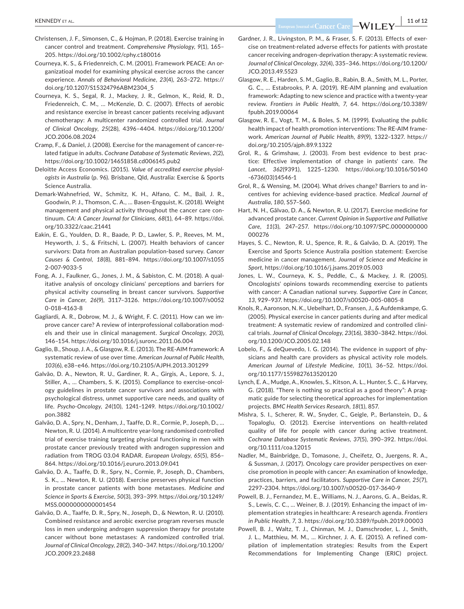- Christensen, J. F., Simonsen, C., & Hojman, P. (2018). Exercise training in cancer control and treatment. *Comprehensive Physiology*, *9*(1), 165– 205. <https://doi.org/10.1002/cphy.c180016>
- Courneya, K. S., & Friedenreich, C. M. (2001). Framework PEACE: An organizatioal model for examining physical exercise across the cancer experience. *Annals of Behavioral Medicine*, *23*(4), 263–272. [https://](https://doi.org/10.1207/S15324796ABM2304_5) [doi.org/10.1207/S15324796ABM2304\\_5](https://doi.org/10.1207/S15324796ABM2304_5)
- Courneya, K. S., Segal, R. J., Mackey, J. R., Gelmon, K., Reid, R. D., Friedenreich, C. M., … McKenzie, D. C. (2007). Effects of aerobic and resistance exercise in breast cancer patients receiving adjuvant chemotherapy: A multicenter randomized controlled trial. *Journal of Clinical Oncology*, *25*(28), 4396–4404. [https://doi.org/10.1200/](https://doi.org/10.1200/JCO.2006.08.2024) [JCO.2006.08.2024](https://doi.org/10.1200/JCO.2006.08.2024)
- Cramp, F., & Daniel, J. (2008). Exercise for the management of cancer-related fatigue in adults. *Cochrane Database of Systematic Reviews*, *2*(2), <https://doi.org/10.1002/14651858.cd006145.pub2>
- Deloitte Access Economics. (2015). *Value of accredited exercise physiologists in Australia* (p. 96). Brisbane, Qld, Australia: Exercise & Sports Science Australia.
- Demark-Wahnefried, W., Schmitz, K. H., Alfano, C. M., Bail, J. R., Goodwin, P. J., Thomson, C. A., … Basen-Engquist, K. (2018). Weight management and physical activity throughout the cancer care continuum. *CA: A Cancer Journal for Clinicians*, *68*(1), 64–89. [https://doi.](https://doi.org/10.3322/caac.21441) [org/10.3322/caac.21441](https://doi.org/10.3322/caac.21441)
- Eakin, E. G., Youlden, D. R., Baade, P. D., Lawler, S. P., Reeves, M. M., Heyworth, J. S., & Fritschi, L. (2007). Health behaviors of cancer survivors: Data from an Australian population-based survey. *Cancer Causes & Control*, *18*(8), 881–894. [https://doi.org/10.1007/s1055](https://doi.org/10.1007/s10552-007-9033-5) [2-007-9033-5](https://doi.org/10.1007/s10552-007-9033-5)
- Fong, A. J., Faulkner, G., Jones, J. M., & Sabiston, C. M. (2018). A qualitative analysis of oncology clinicians' perceptions and barriers for physical activity counseling in breast cancer survivors. *Supportive Care in Cancer*, *26*(9), 3117–3126. [https://doi.org/10.1007/s0052](https://doi.org/10.1007/s00520-018-4163-8) [0-018-4163-8](https://doi.org/10.1007/s00520-018-4163-8)
- Gagliardi, A. R., Dobrow, M. J., & Wright, F. C. (2011). How can we improve cancer care? A review of interprofessional collaboration models and their use in clinical management. *Surgical Oncology*, *20*(3), 146–154. <https://doi.org/10.1016/j.suronc.2011.06.004>
- Gaglio, B., Shoup, J. A., & Glasgow, R. E. (2013). The RE-AIM framework: A systematic review of use over time. *American Journal of Public Health*, *103*(6), e38–e46. <https://doi.org/10.2105/AJPH.2013.301299>
- Galvão, D. A., Newton, R. U., Gardiner, R. A., Girgis, A., Lepore, S. J., Stiller, A., … Chambers, S. K. (2015). Compliance to exercise-oncology guidelines in prostate cancer survivors and associations with psychological distress, unmet supportive care needs, and quality of life. *Psycho-Oncology*, *24*(10), 1241–1249. [https://doi.org/10.1002/](https://doi.org/10.1002/pon.3882) [pon.3882](https://doi.org/10.1002/pon.3882)
- Galvão, D. A., Spry, N., Denham, J., Taaffe, D. R., Cormie, P., Joseph, D., … Newton, R. U. (2014). A multicentre year-long randomised controlled trial of exercise training targeting physical functioning in men with prostate cancer previously treated with androgen suppression and radiation from TROG 03.04 RADAR. *European Urology*, *65*(5), 856– 864. <https://doi.org/10.1016/j.eururo.2013.09.041>
- Galvão, D. A., Taaffe, D. R., Spry, N., Cormie, P., Joseph, D., Chambers, S. K., … Newton, R. U. (2018). Exercise preserves physical function in prostate cancer patients with bone metastases. *Medicine and Science in Sports & Exercise*, *50*(3), 393–399. [https://doi.org/10.1249/](https://doi.org/10.1249/MSS.0000000000001454) [MSS.0000000000001454](https://doi.org/10.1249/MSS.0000000000001454)
- Galvão, D. A., Taaffe, D. R., Spry, N., Joseph, D., & Newton, R. U. (2010). Combined resistance and aerobic exercise program reverses muscle loss in men undergoing androgen suppression therapy for prostate cancer without bone metastases: A randomized controlled trial. *Journal of Clinical Oncology*, *28*(2), 340–347. [https://doi.org/10.1200/](https://doi.org/10.1200/JCO.2009.23.2488) [JCO.2009.23.2488](https://doi.org/10.1200/JCO.2009.23.2488)
- Gardner, J. R., Livingston, P. M., & Fraser, S. F. (2013). Effects of exercise on treatment-related adverse effects for patients with prostate cancer receiving androgen-deprivation therapy: A systematic review. *Journal of Clinical Oncology*, *32*(4), 335–346. [https://doi.org/10.1200/](https://doi.org/10.1200/JCO.2013.49.5523) [JCO.2013.49.5523](https://doi.org/10.1200/JCO.2013.49.5523)
- Glasgow, R. E., Harden, S. M., Gaglio, B., Rabin, B. A., Smith, M. L., Porter, G. C., … Estabrooks, P. A. (2019). RE-AIM planning and evaluation framework: Adapting to new science and practice with a twenty-year review. *Frontiers in Public Health*, *7*, 64. [https://doi.org/10.3389/](https://doi.org/10.3389/fpubh.2019.00064) [fpubh.2019.00064](https://doi.org/10.3389/fpubh.2019.00064)
- Glasgow, R. E., Vogt, T. M., & Boles, S. M. (1999). Evaluating the public health impact of health promotion interventions: The RE-AIM framework. *American Journal of Public Health*, *89*(9), 1322–1327. [https://](https://doi.org/10.2105/ajph.89.9.1322) [doi.org/10.2105/ajph.89.9.1322](https://doi.org/10.2105/ajph.89.9.1322)
- Grol, R., & Grimshaw, J. (2003). From best evidence to best practice: Effective implementation of change in patients' care. *The Lancet*, *362*(9391), 1225–1230. [https://doi.org/10.1016/S0140](https://doi.org/10.1016/S0140-6736(03)14546-1) [-6736\(03\)14546-1](https://doi.org/10.1016/S0140-6736(03)14546-1)
- Grol, R., & Wensing, M. (2004). What drives change? Barriers to and incentives for achieving evidence-based practice. *Medical Journal of Australia*, *180*, S57–S60.
- Hart, N. H., Gãlvao, D. A., & Newton, R. U. (2017). Exercise medicine for advanced prostate cancer. *Current Opinion in Supportive and Palliative Care*, *11*(3), 247–257. [https://doi.org/10.1097/SPC.0000000000](https://doi.org/10.1097/SPC.0000000000000276) [000276](https://doi.org/10.1097/SPC.0000000000000276)
- Hayes, S. C., Newton, R. U., Spence, R. R., & Galvão, D. A. (2019). The Exercise and Sports Science Australia position statement: Exercise medicine in cancer management. *Journal of Science and Medicine in Sport*, <https://doi.org/10.1016/j.jsams.2019.05.003>
- Jones, L. W., Courneya, K. S., Peddle, C., & Mackey, J. R. (2005). Oncologists' opinions towards recommending exercise to patients with cancer: A Canadian national survey. *Supportive Care in Cancer*, *13*, 929–937.<https://doi.org/10.1007/s00520-005-0805-8>
- Knols, R., Aaronson, N. K., Uebelhart, D., Fransen, J., & Aufdemkampe, G. (2005). Physical exercise in cancer patients during and after medical treatment: A systematic review of randomized and controlled clinical trials. *Journal of Clinical Oncology*, *23*(16), 3830–3842. [https://doi.](https://doi.org/10.1200/JCO.2005.02.148) [org/10.1200/JCO.2005.02.148](https://doi.org/10.1200/JCO.2005.02.148)
- Lobelo, F., & deQuevedo, I. G. (2014). The evidence in support of physicians and health care providers as physical activity role models. *American Journal of Lifestyle Medicine*, *10*(1), 36–52. [https://doi.](https://doi.org/10.1177/1559827613520120) [org/10.1177/1559827613520120](https://doi.org/10.1177/1559827613520120)
- Lynch, E. A., Mudge, A., Knowles, S., Kitson, A. L., Hunter, S. C., & Harvey, G. (2018). "There is nothing so practical as a good theory": A pragmatic guide for selecting theoretical approaches for implementation projects. *BMC Health Services Research*, *18*(1), 857.
- Mishra, S. I., Scherer, R. W., Snyder, C., Geigle, P., Berlanstein, D., & Topaloglu, O. (2012). Exercise interventions on health-related quality of life for people with cancer during active treatment. *Cochrane Database Systematic Reviews*, *37*(5), 390–392. [https://doi.](https://doi.org/10.1111/coa.12015) [org/10.1111/coa.12015](https://doi.org/10.1111/coa.12015)
- Nadler, M., Bainbridge, D., Tomasone, J., Cheifetz, O., Juergens, R. A., & Sussman, J. (2017). Oncology care provider perspectives on exercise promotion in people with cancer: An examination of knowledge, practices, barriers, and facilitators. *Supportive Care in Cancer*, *25*(7), 2297–2304. <https://doi.org/10.1007/s00520-017-3640-9>
- Powell, B. J., Fernandez, M. E., Williams, N. J., Aarons, G. A., Beidas, R. S., Lewis, C. C., … Weiner, B. J. (2019). Enhancing the impact of implementation strategies in healthcare: A research agenda. *Frontiers in Public Health*, *7*, 3.<https://doi.org/10.3389/fpubh.2019.00003>
- Powell, B. J., Waltz, T. J., Chinman, M. J., Damschroder, L. J., Smith, J. L., Matthieu, M. M., … Kirchner, J. A. E. (2015). A refined compilation of implementation strategies: Results from the Expert Recommendations for Implementing Change (ERIC) project.